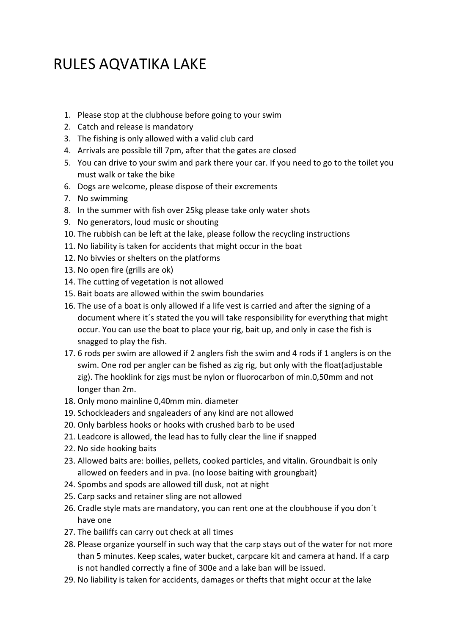## RULES AQVATIKA LAKE

- 1. Please stop at the clubhouse before going to your swim
- 2. Catch and release is mandatory
- 3. The fishing is only allowed with a valid club card
- 4. Arrivals are possible till 7pm, after that the gates are closed
- 5. You can drive to your swim and park there your car. If you need to go to the toilet you must walk or take the bike
- 6. Dogs are welcome, please dispose of their excrements
- 7. No swimming
- 8. In the summer with fish over 25kg please take only water shots
- 9. No generators, loud music or shouting
- 10. The rubbish can be left at the lake, please follow the recycling instructions
- 11. No liability is taken for accidents that might occur in the boat
- 12. No bivvies or shelters on the platforms
- 13. No open fire (grills are ok)
- 14. The cutting of vegetation is not allowed
- 15. Bait boats are allowed within the swim boundaries
- 16. The use of a boat is only allowed if a life vest is carried and after the signing of a document where it´s stated the you will take responsibility for everything that might occur. You can use the boat to place your rig, bait up, and only in case the fish is snagged to play the fish.
- 17. 6 rods per swim are allowed if 2 anglers fish the swim and 4 rods if 1 anglers is on the swim. One rod per angler can be fished as zig rig, but only with the float(adjustable zig). The hooklink for zigs must be nylon or fluorocarbon of min.0,50mm and not longer than 2m.
- 18. Only mono mainline 0,40mm min. diameter
- 19. Schockleaders and sngaleaders of any kind are not allowed
- 20. Only barbless hooks or hooks with crushed barb to be used
- 21. Leadcore is allowed, the lead has to fully clear the line if snapped
- 22. No side hooking baits
- 23. Allowed baits are: boilies, pellets, cooked particles, and vitalin. Groundbait is only allowed on feeders and in pva. (no loose baiting with groungbait)
- 24. Spombs and spods are allowed till dusk, not at night
- 25. Carp sacks and retainer sling are not allowed
- 26. Cradle style mats are mandatory, you can rent one at the cloubhouse if you don´t have one
- 27. The bailiffs can carry out check at all times
- 28. Please organize yourself in such way that the carp stays out of the water for not more than 5 minutes. Keep scales, water bucket, carpcare kit and camera at hand. If a carp is not handled correctly a fine of 300e and a lake ban will be issued.
- 29. No liability is taken for accidents, damages or thefts that might occur at the lake